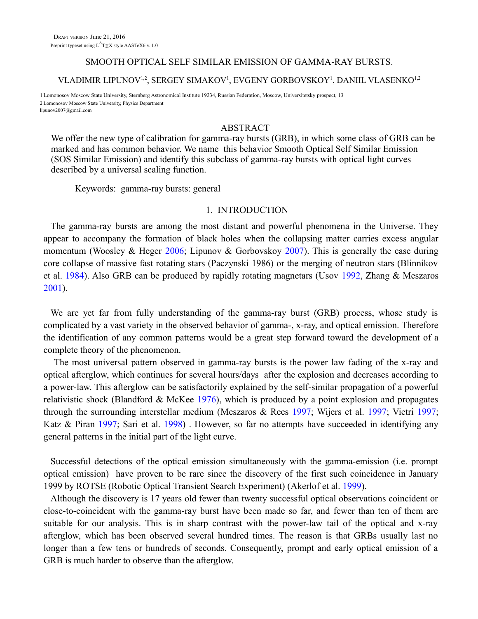## SMOOTH OPTICAL SELF SIMILAR EMISSION OF GAMMA-RAY BURSTS.

# VLADIMIR LIPUNOV<sup>1,2</sup>, SERGEY SIMAKOV<sup>1</sup>, EVGENY GORBOVSKOY<sup>1</sup>, DANIIL VLASENKO<sup>1,2</sup>

1 Lomonosov Moscow State University, Sternberg Astronomical Institute 19234, Russian Federation, Moscow, Universitetsky prospect, 13 2 Lomonosov Moscow State University, Physics Department lipunov2007@gmail.com

## ABSTRACT

We offer the new type of calibration for gamma-ray bursts (GRB), in which some class of GRB can be marked and has common behavior. We name this behavior Smooth Optical Self Similar Emission (SOS Similar Emission) and identify this subclass of gamma-ray bursts with optical light curves described by a universal scaling function.

Keywords: gamma-ray bursts: general

## <span id="page-0-6"></span><span id="page-0-5"></span><span id="page-0-4"></span><span id="page-0-3"></span><span id="page-0-0"></span>1. INTRODUCTION

The gamma-ray bursts are among the most distant and powerful phenomena in the Universe. They appear to accompany the formation of black holes when the collapsing matter carries excess angular momentum (Woosley & Heger 2006; Lipunov & Gorbovskoy 2007). This is generally the case during core collapse of massive fast rotating stars (Paczynski 1986) or the merging of neutron stars (Blinnikov et al. 1984). Also GRB can be produced by rapidly rotating magnetars (Usov 1992, Zhang & Meszaros 2001).

We are yet far from fully understanding of the gamma-ray burst (GRB) process, whose study is complicated by a vast variety in the observed behavior of gamma-, x-ray, and optical emission. Therefore the identification of any common patterns would be a great step forward toward the development of a complete theory of the phenomenon.

<span id="page-0-7"></span>The most universal pattern observed in gamma-ray bursts is the power law fading of the x-ray and optical afterglow, which continues for several hours/days after the explosion and decreases according to a power-law. This afterglow can be satisfactorily explained by the self-similar propagation of a powerful relativistic shock [\(Blandford & McKee 1976\)](#page-0-7), which is produced by a point explosion and propagates through the surrounding interstellar medium [\(Meszaros & Rees](#page-0-6) [1997;](#page-0-5) [Wijers et al. 1997;](#page-0-4) [Vietri 1997;](#page-0-3) [Katz & Piran 1997;](#page-0-2) [Sari et al. 1998\)](#page-0-1) . However, so far no attempts have succeeded in identifying any general patterns in the initial part of the light curve.

<span id="page-0-2"></span><span id="page-0-1"></span>Successful detections of the optical emission simultaneously with the gamma-emission (i.e. prompt optical emission) have proven to be rare since the discovery of the first such coincidence in January 1999 by ROTSE (Robotic Optical Transient Search Experiment) [\(Akerlof et al. 1999\)](#page-0-0).

Although the discovery is 17 years old fewer than twenty successful optical observations coincident or close-to-coincident with the gamma-ray burst have been made so far, and fewer than ten of them are suitable for our analysis. This is in sharp contrast with the power-law tail of the optical and x-ray afterglow, which has been observed several hundred times. The reason is that GRBs usually last no longer than a few tens or hundreds of seconds. Consequently, prompt and early optical emission of a GRB is much harder to observe than the afterglow.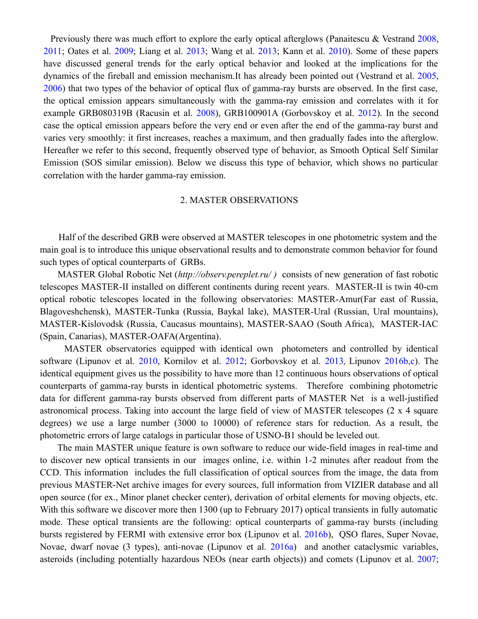<span id="page-1-15"></span><span id="page-1-14"></span><span id="page-1-9"></span>Previously there was much effort to explore the early optical afterglows [\(Panaitescu & Vestrand 2008,](#page-1-16) [2011;](#page-1-15) [Oates et al. 2009;](#page-1-14) [Liang et al. 2013;](#page-1-13) [Wang et al. 2013;](#page-1-12) [Kann et al. 2010\)](#page-1-11). Some of these papers have discussed general trends for the early optical behavior and looked at the implications for the dynamics of the fireball and emission mechanism.It has already been pointed out [\(Vestrand et al. 2005,](#page-1-10) [2006\)](#page-1-9) that two types of the behavior of optical flux of gamma-ray bursts are observed. In the first case, the optical emission appears simultaneously with the gamma-ray emission and correlates with it for example GRB080319B [\(Racusin et al. 2008\)](#page-1-8), GRB100901A [\(Gorbovskoy et al.](#page-1-7) [2012\)](#page-1-6). In the second case the optical emission appears before the very end or even after the end of the gamma-ray burst and varies very smoothly: it first increases, reaches a maximum, and then gradually fades into the afterglow. Hereafter we refer to this second, frequently observed type of behavior, as Smooth Optical Self Similar Emission (SOS similar emission). Below we discuss this type of behavior, which shows no particular correlation with the harder gamma-ray emission.

## <span id="page-1-16"></span><span id="page-1-13"></span><span id="page-1-12"></span><span id="page-1-11"></span><span id="page-1-10"></span><span id="page-1-8"></span><span id="page-1-7"></span><span id="page-1-6"></span><span id="page-1-5"></span><span id="page-1-4"></span><span id="page-1-3"></span>2. MASTER OBSERVATIONS

 Half of the described GRB were observed at MASTER telescopes in one photometric system and the main goal is to introduce this unique observational results and to demonstrate common behavior for found such types of optical counterparts of GRBs.

 MASTER Global Robotic Net (*<http://observ.pereplet.ru/>)* consists of new generation of fast robotic telescopes MASTER-II installed on different continents during recent years. MASTER-II is twin 40-cm optical robotic telescopes located in the following observatories: MASTER-Amur(Far east of Russia, Blagoveshchensk), MASTER-Tunka (Russia, Baykal lake), MASTER-Ural (Russian, Ural mountains), MASTER-Kislovodsk (Russia, Caucasus mountains), MASTER-SAAO (South Africa), MASTER-IAC (Spain, Canarias), MASTER-OAFA(Argentina).

 MASTER observatories equipped with identical own photometers and controlled by identical software (Lipunov et al. 2010, [Kornilov et al. 2012;](#page-1-5) [Gorbovskoy et al.](#page-1-4) [2013](#page-1-3), Lipunov 2016b,c). The identical equipment gives us the possibility to have more than 12 continuous hours observations of optical counterparts of gamma-ray bursts in identical photometric systems. Therefore combining photometric data for different gamma-ray bursts observed from different parts of MASTER Net is a well-justified astronomical process. Taking into account the large field of view of MASTER telescopes (2 x 4 square degrees) we use a large number (3000 to 10000) of reference stars for reduction. As a result, the photometric errors of large catalogs in particular those of USNO-B1 should be leveled out.

<span id="page-1-2"></span><span id="page-1-1"></span><span id="page-1-0"></span> The main MASTER unique feature is own software to reduce our wide-field images in real-time and to discover new optical transients in our images online, i.e. within 1-2 minutes after readout from the CCD. This information includes the full classification of optical sources from the image, the data from previous MASTER-Net archive images for every sources, full information from VIZIER database and all open source (for ex., Minor planet checker center), derivation of orbital elements for moving objects, etc. With this software we discover more then 1300 (up to February 2017) optical transients in fully automatic mode. These optical transients are the following: optical counterparts of gamma-ray bursts (including bursts registered by FERMI with extensive error box [\(Lipunov et al. 2016b\)](#page-1-2), QSO flares, Super Novae, Novae, dwarf novae (3 types), anti-novae [\(Lipunov et al. 2016a\)](#page-1-1) and another cataclysmic variables, asteroids (including potentially hazardous NEOs (near earth objects)) and comets [\(Lipunov et al. 2007;](#page-1-0)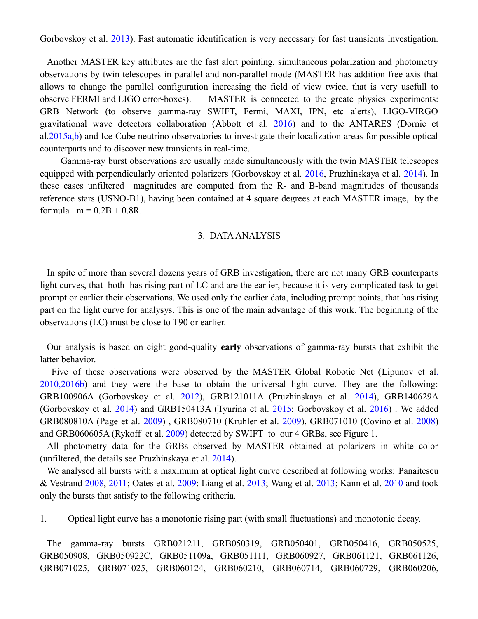<span id="page-2-18"></span>[Gorbovskoy et al. 2013\)](#page-2-18). Fast automatic identification is very necessary for fast transients investigation.

Another MASTER key attributes are the fast alert pointing, simultaneous polarization and photometry observations by twin telescopes in parallel and non-parallel mode (MASTER has addition free axis that allows to change the parallel configuration increasing the field of view twice, that is very usefull to observe FERMI and LIGO error-boxes). MASTER is connected to the greate physics experiments: GRB Network (to observe gamma-ray SWIFT, Fermi, MAXI, IPN, etc alerts), LIGO-VIRGO gravitational wave detectors collaboration [\(Abbott et al. 2016\)](#page-2-17) and to the ANTARES (Dornic et al.2015a,b) and Ice-Cube neutrino observatories to investigate their localization areas for possible optical counterparts and to discover new transients in real-time.

 Gamma-ray burst observations are usually made simultaneously with the twin MASTER telescopes equipped with perpendicularly oriented polarizers (Gorbovskoy et al. 2016, Pruzhinskaya et al. 2014). In these cases unfiltered magnitudes are computed from the R- and B-band magnitudes of thousands reference stars (USNO-B1), having been contained at 4 square degrees at each MASTER image, by the formula  $m = 0.2B + 0.8R$ .

### <span id="page-2-19"></span><span id="page-2-17"></span><span id="page-2-15"></span><span id="page-2-14"></span><span id="page-2-12"></span><span id="page-2-11"></span><span id="page-2-8"></span><span id="page-2-7"></span><span id="page-2-1"></span><span id="page-2-0"></span>3. DATA ANALYSIS

In spite of more than several dozens years of GRB investigation, there are not many GRB counterparts light curves, that both has rising part of LC and are the earlier, because it is very complicated task to get prompt or earlier their observations. We used only the earlier data, including prompt points, that has rising part on the light curve for analysys. This is one of the main advantage of this work. The beginning of the observations (LC) must be close to T90 or earlier.

Our analysis is based on eight good-quality **early** observations of gamma-ray bursts that exhibit the latter behavior.

<span id="page-2-16"></span><span id="page-2-13"></span>Five of these observations were observed by the MASTER Global Robotic Net [\(Lipunov](#page-2-16) et al. [2010,](#page-2-16)2016b) and they were the base to obtain the universal light curve. They are the following: GRB100906A [\(Gorbovskoy et al. 2012\)](#page-2-15), GRB121011A [\(Pruzhinskaya et al. 2014\)](#page-2-14), GRB140629A [\(Gorbovskoy et al. 2014\)](#page-2-13) and GRB150413A [\(Tyurina et al. 2015;](#page-2-12) [Gorbovskoy et al. 2016\)](#page-2-11) . We added GRB080810A [\(Page et al.](#page-2-10) [2009\)](#page-2-9) , GRB080710 [\(Kruhler et al. 2009\)](#page-2-8), GRB071010 [\(Covino et al. 2008\)](#page-2-7) and GRB060605A [\(Rykoff et al. 2009\)](#page-2-6) detected by SWIFT to our 4 GRBs, see Figure 1.

<span id="page-2-10"></span><span id="page-2-9"></span><span id="page-2-6"></span>All photometry data for the GRBs observed by MASTER obtained at polarizers in white color (unfiltered, the details see Pruzhinskaya et al. 2014).

<span id="page-2-5"></span><span id="page-2-4"></span><span id="page-2-3"></span><span id="page-2-2"></span>We analysed all bursts with a maximum at optical light curve described at following works: [Panaitescu](#page-2-5) [& Vestrand 2008,](#page-2-5) [2011;](#page-2-4) [Oates et al. 2009;](#page-2-3) [Liang et al. 2013;](#page-2-2) [Wang et al. 2013;](#page-2-1) [Kann et al. 2010](#page-2-0) and took only the bursts that satisfy to the following critheria.

1. Optical light curve has a monotonic rising part (with small fluctuations) and monotonic decay.

The gamma-ray bursts GRB021211, GRB050319, GRB050401, GRB050416, GRB050525, GRB050908, GRB050922C, GRB051109a, GRB051111, GRB060927, GRB061121, GRB061126, GRB071025, GRB071025, GRB060124, GRB060210, GRB060714, GRB060729, GRB060206,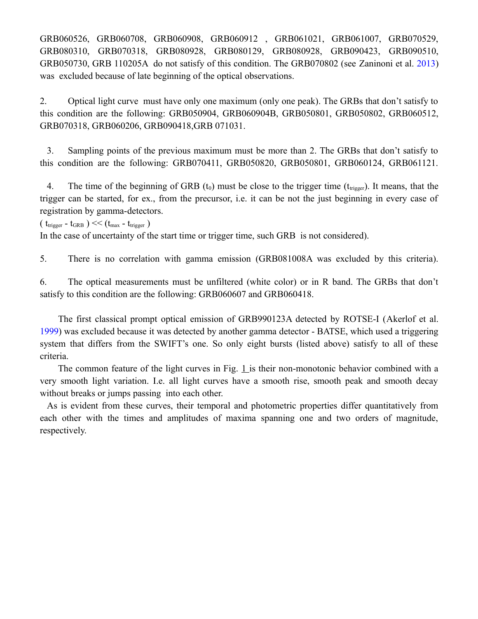GRB060526, GRB060708, GRB060908, GRB060912 , GRB061021, GRB061007, GRB070529, GRB080310, GRB070318, GRB080928, GRB080129, GRB080928, GRB090423, GRB090510, GRB050730, GRB 110205A do not satisfy of this condition. The GRB070802 (see Zaninoni et al. 2013) was excluded because of late beginning of the optical observations.

2. Optical light curve must have only one maximum (only one peak). The GRBs that don't satisfy to this condition are the following: GRB050904, GRB060904B, GRB050801, GRB050802, GRB060512, GRB070318, GRB060206, GRB090418,GRB 071031.

3. Sampling points of the previous maximum must be more than 2. The GRBs that don't satisfy to this condition are the following: GRB070411, GRB050820, GRB050801, GRB060124, GRB061121.

4. The time of the beginning of GRB  $(t_0)$  must be close to the trigger time ( $t_{\text{trigger}}$ ). It means, that the trigger can be started, for ex., from the precursor, i.e. it can be not the just beginning in every case of registration by gamma-detectors.

(  $t_{trigger}$  -  $t_{GRB}$  ) << ( $t_{max}$  -  $t_{trigger}$  )

In the case of uncertainty of the start time or trigger time, such GRB is not considered).

5. There is no correlation with gamma emission (GRB081008A was excluded by this criteria).

6. The optical measurements must be unfiltered (white color) or in R band. The GRBs that don't satisfy to this condition are the following: GRB060607 and GRB060418.

<span id="page-3-0"></span> The first classical prompt optical emission of GRB990123A detected by ROTSE-I [\(Akerlof et al.](#page-3-0) [1999\)](#page-3-0) was excluded because it was detected by another gamma detector - BATSE, which used a triggering system that differs from the SWIFT's one. So only eight bursts (listed above) satisfy to all of these criteria.

The common feature of the light curves in Fig.  $1$  is their non-monotonic behavior combined with a very smooth light variation. I.e. all light curves have a smooth rise, smooth peak and smooth decay without breaks or jumps passing into each other.

As is evident from these curves, their temporal and photometric properties differ quantitatively from each other with the times and amplitudes of maxima spanning one and two orders of magnitude, respectively.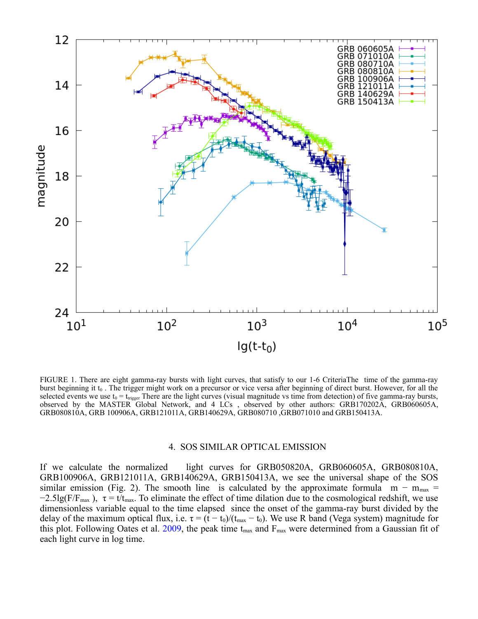

FIGURE 1. There are eight gamma-ray bursts with light curves, that satisfy to our 1-6 CriteriaThe time of the gamma-ray burst beginning it t<sub>0</sub>. The trigger might work on a precursor or vice versa after beginning of direct burst. However, for all the selected events we use  $t_0 = t_{trigger}$  There are the light curves (visual magnitude vs time from detection) of five gamma-ray bursts, observed by the MASTER Global Network, and 4 LCs , observed by other authors: GRB170202A, GRB060605A, GRB080810A, GRB 100906A, GRB121011A, GRB140629A, GRB080710 ,GRB071010 and GRB150413A.

### <span id="page-4-0"></span>4. SOS SIMILAR OPTICAL EMISSION

If we calculate the normalized light curves for GRB050820A, GRB060605A, GRB080810A, GRB100906A, GRB121011A, GRB140629A, GRB150413A, we see the universal shape of the SOS similar emission (Fig. 2). The smooth line is calculated by the approximate formula m –  $m_{max}$  =  $-2.5\lg(F/F_{\text{max}})$ ,  $\tau = t/t_{\text{max}}$ . To eliminate the effect of time dilation due to the cosmological redshift, we use dimensionless variable equal to the time elapsed since the onset of the gamma-ray burst divided by the delay of the maximum optical flux, i.e.  $\tau = (t - t_0)/(t_{max} - t_0)$ . We use R band (Vega system) magnitude for this plot. Following Oates et al.  $2009$ , the peak time t<sub>max</sub> and  $F_{\text{max}}$  were determined from a Gaussian fit of each light curve in log time.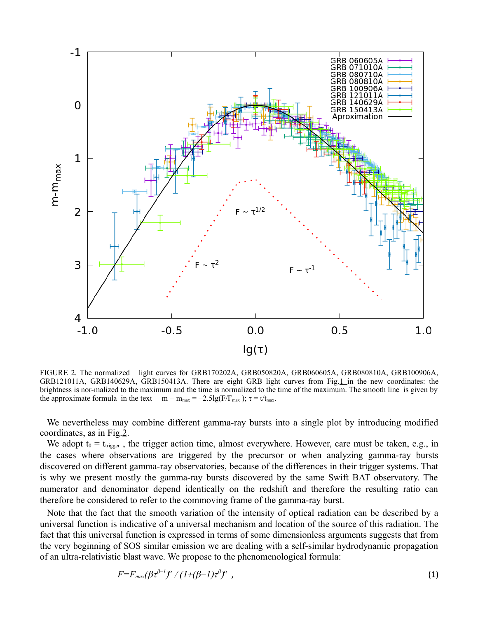

<span id="page-5-0"></span>FIGURE 2. The normalized light curves for GRB170202A, GRB050820A, GRB060605A, GRB080810A, GRB100906A, GRB121011A, GRB140629A, GRB150413A. There are eight GRB light curves from Fig[.1 i](#page-2-19)n the new coordinates: the brightness is nor-malized to the maximum and the time is normalized to the time of the maximum. The smooth line is given by the approximate formula in the text m – m<sub>max</sub> = -2.5lg(F/F<sub>max</sub>);  $\tau = t/t_{\text{max}}$ .

We nevertheless may combine different gamma-ray bursts into a single plot by introducing modified coordinates, as in Fig[.2.](#page-5-0)

We adopt  $t_0 = t_{trigger}$ , the trigger action time, almost everywhere. However, care must be taken, e.g., in the cases where observations are triggered by the precursor or when analyzing gamma-ray bursts discovered on different gamma-ray observatories, because of the differences in their trigger systems. That is why we present mostly the gamma-ray bursts discovered by the same Swift BAT observatory. The numerator and denominator depend identically on the redshift and therefore the resulting ratio can therefore be considered to refer to the commoving frame of the gamma-ray burst.

Note that the fact that the smooth variation of the intensity of optical radiation can be described by a universal function is indicative of a universal mechanism and location of the source of this radiation. The fact that this universal function is expressed in terms of some dimensionless arguments suggests that from the very beginning of SOS similar emission we are dealing with a self-similar hydrodynamic propagation of an ultra-relativistic blast wave. We propose to the phenomenological formula:

$$
F = F_{max}(\beta \tau^{\beta-1})^{\alpha} / (1 + (\beta - 1) \tau^{\beta})^{\alpha} , \qquad (1)
$$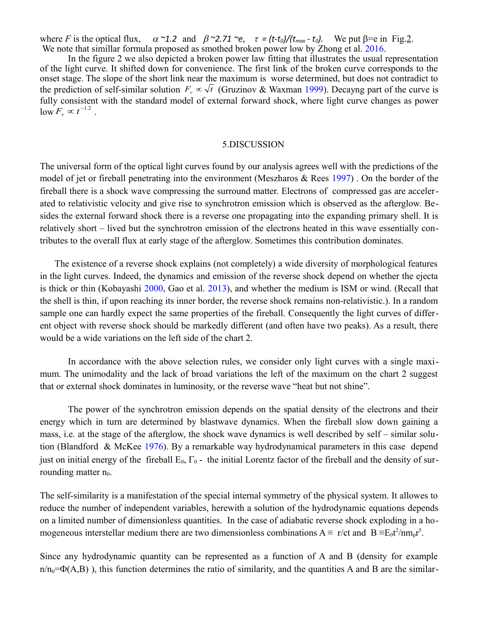where *F* is the optical flux,  $\alpha$  ~1.2 and  $\beta$  ~2.71 ~*e*,  $\tau = (t-t_0)/(t_{max}-t_0)$ . We put  $\beta = e$  in Fig[.2.](#page-5-0) We note that simillar formula proposed as smothed broken power low by Zhong et al. 2016.

In the figure 2 we also depicted a broken power law fitting that illustrates the usual representation of the light curve. It shifted down for convenience. The first link of the broken curve corresponds to the onset stage. The slope of the short link near the maximum is worse determined, but does not contradict to the prediction of self-similar solution  $F_v \propto \sqrt{t}$  (Gruzinov & Waxman 1999). Decayng part of the curve is fully consistent with the standard model of external forward shock, where light curve changes as power  $\log F_v \propto t^{-1.2}$ .

#### 5.DISCUSSION

The universal form of the optical light curves found by our analysis agrees well with the predictions of the model of jet or fireball penetrating into the environment (Meszharos & Rees 1997) . On the border of the fireball there is a shock wave compressing the surround matter. Electrons of compressed gas are accelerated to relativistic velocity and give rise to synchrotron emission which is observed as the afterglow. Besides the external forward shock there is a reverse one propagating into the expanding primary shell. It is relatively short – lived but the synchrotron emission of the electrons heated in this wave essentially contributes to the overall flux at early stage of the afterglow. Sometimes this contribution dominates.

 The existence of a reverse shock explains (not completely) a wide diversity of morphological features in the light curves. Indeed, the dynamics and emission of the reverse shock depend on whether the ejecta is thick or thin (Kobayashi 2000, Gao et al. 2013), and whether the medium is ISM or wind. (Recall that the shell is thin, if upon reaching its inner border, the reverse shock remains non-relativistic.). In a random sample one can hardly expect the same properties of the fireball. Consequently the light curves of different object with reverse shock should be markedly different (and often have two peaks). As a result, there would be a wide variations on the left side of the chart 2.

In accordance with the above selection rules, we consider only light curves with a single maximum. The unimodality and the lack of broad variations the left of the maximum on the chart 2 suggest that or external shock dominates in luminosity, or the reverse wave "heat but not shine".

The power of the synchrotron emission depends on the spatial density of the electrons and their energy which in turn are determined by blastwave dynamics. When the fireball slow down gaining a mass, i.e. at the stage of the afterglow, the shock wave dynamics is well described by self – similar solution (Blandford & McKee 1976). By a remarkable way hydrodynamical parameters in this case depend just on initial energy of the fireball  $E_0$ ,  $\Gamma_0$  - the initial Lorentz factor of the fireball and the density of surrounding matter  $n_0$ .

The self-similarity is a manifestation of the special internal symmetry of the physical system. It allowes to reduce the number of independent variables, herewith a solution of the hydrodynamic equations depends on a limited number of dimensionless quantities. In the case of adiabatic reverse shock exploding in a homogeneous interstellar medium there are two dimensionless combinations  $A \equiv r/ct$  and  $B \equiv E_0 t^2 / n m_p r^5$ .

Since any hydrodynamic quantity can be represented as a function of A and B (density for example  $n/n_0 = \Phi(A,B)$ ), this function determines the ratio of similarity, and the quantities A and B are the similar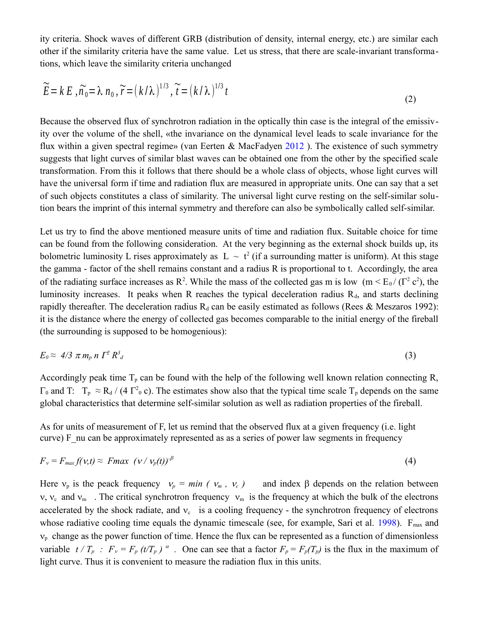ity criteria. Shock waves of different GRB (distribution of density, internal energy, etc.) are similar each other if the similarity criteria have the same value. Let us stress, that there are scale-invariant transformations, which leave the similarity criteria unchanged

$$
\widetilde{E} = k E , \widetilde{n_0} = \lambda n_0 , \widetilde{r} = (k/\lambda)^{1/3}, \widetilde{t} = (k/\lambda)^{1/3} t
$$
\n<sup>(2)</sup>

Because the observed flux of synchrotron radiation in the optically thin case is the integral of the emissivity over the volume of the shell, «the invariance on the dynamical level leads to scale invariance for the flux within a given spectral regime» (van Eerten & MacFadyen  $2012$ ). The existence of such symmetry suggests that light curves of similar blast waves can be obtained one from the other by the specified scale transformation. From this it follows that there should be a whole class of objects, whose light curves will have the universal form if time and radiation flux are measured in appropriate units. One can say that a set of such objects constitutes a class of similarity. The universal light curve resting on the self-similar solution bears the imprint of this internal symmetry and therefore can also be symbolically called self-similar.

Let us try to find the above mentioned measure units of time and radiation flux. Suitable choiсe for time can be found from the following consideration. At the very beginning as the external shock builds up, its bolometric luminosity L rises approximately as  $|L| \sim t^2$  (if a surrounding matter is uniform). At this stage the gamma - factor of the shell remains constant and a radius R is proportional to t. Accordingly, the area of the radiating surface increases as R<sup>2</sup>. While the mass of the collected gas m is low  $(m < E_0 / (\Gamma^2 c^2))$ , the luminosity increases. It peaks when R reaches the typical deceleration radius  $R_d$ , and starts declining rapidly thereafter. The deceleration radius  $R_d$  can be easily estimated as follows (Rees & Meszaros 1992): it is the distance where the energy of collected gas becomes comparable to the initial energy of the fireball (the surrounding is supposed to be homogenious):

$$
E_0 \approx 4/3 \pi m_p n \Gamma^2 R_d^3 \tag{3}
$$

Accordingly peak time  $T_p$  can be found with the help of the following well known relation connecting R,  $\Gamma_0$  and T:  $T_p \approx R_d / (4 \Gamma^2_0 c)$ . The estimates show also that the typical time scale  $T_p$  depends on the same global characteristics that determine self-similar solution as well as radiation properties of the fireball.

As for units of measurement of F, let us remind that the observed flux at a given frequency (i.e. light curve) F\_nu can be approximately represented as as a series of power law segments in frequency

$$
F_v = F_{max} f(v,t) \approx Fmax \ (v/v_p(t))^{-\beta} \tag{4}
$$

Here  $v_p$  is the peack frequency  $v_p = min (v_m, v_c)$  and index  $\beta$  depends on the relation between v,  $v_c$  and  $v_m$ . The critical synchrotron frequency  $v_m$  is the frequency at which the bulk of the electrons accelerated by the shock radiate, and  $v_c$  is a cooling frequency - the synchrotron frequency of electrons whose radiative cooling time equals the dynamic timescale (see, for example, Sari et al.  $1998$ ).  $F_{\text{max}}$  and  $v<sub>p</sub>$  change as the power function of time. Hence the flux can be represented as a function of dimensionless variable  $t / T_p$ :  $F_v = F_p (t/T_p)^{\alpha}$ . One can see that a factor  $F_p = F_p(T_p)$  is the flux in the maximum of light curve. Thus it is convenient to measure the radiation flux in this units.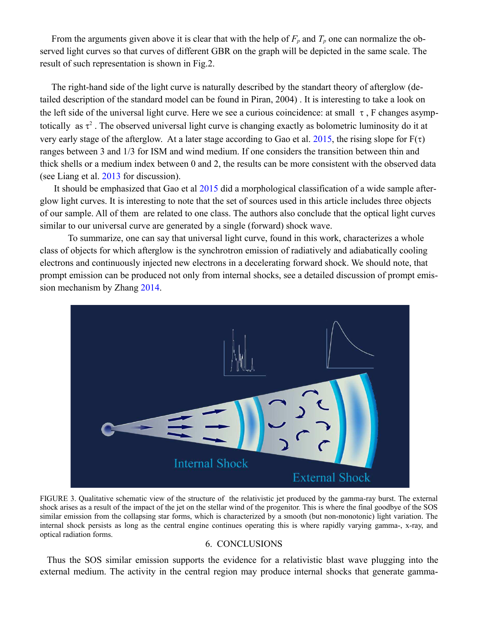From the arguments given above it is clear that with the help of  $F_p$  and  $T_p$  one can normalize the observed light curves so that curves of different GBR on the graph will be depicted in the same scale. The result of such representation is shown in Fig.2.

 The right-hand side of the light curve is naturally described by the standart theory of afterglow (detailed description of the standard model can be found in Piran, 2004) . It is interesting to take a look on the left side of the universal light curve. Here we see a curious coincidence: at small  $\tau$ , F changes asymptotically as  $\tau^2$ . The observed universal light curve is changing exactly as bolometric luminosity do it at very early stage of the afterglow. At a later stage according to Gao et al. 2015, the rising slope for  $F(\tau)$ ranges between 3 and 1/3 for ISM and wind medium. If one considers the transition between thin and thick shells or a medium index between 0 and 2, the results can be more consistent with the observed data (see Liang et al. 2013 for discussion).

 It should be emphasized that Gao et al 2015 did a morphological classification of a wide sample afterglow light curves. It is interesting to note that the set of sources used in this article includes three objects of our sample. All of them are related to one class. The authors also conclude that the optical light curves similar to our universal curve are generated by a single (forward) shock wave.

To summarize, one can say that universal light curve, found in this work, characterizes a whole class of objects for which afterglow is the synchrotron emission of radiatively and adiabatically cooling electrons and continuously injected new electrons in a decelerating forward shock. We should note, that prompt emission can be produced not only from internal shocks, see a detailed discussion of prompt emission mechanism by Zhang 2014.



FIGURE 3. Qualitative schematic view of the structure of the relativistic jet produced by the gamma-ray burst. The external shock arises as a result of the impact of the jet on the stellar wind of the progenitor. This is where the final goodbye of the SOS similar emission from the collapsing star forms, which is characterized by a smooth (but non-monotonic) light variation. The internal shock persists as long as the central engine continues operating this is where rapidly varying gamma-, x-ray, and optical radiation forms.

## 6. CONCLUSIONS

Thus the SOS similar emission supports the evidence for a relativistic blast wave plugging into the external medium. The activity in the central region may produce internal shocks that generate gamma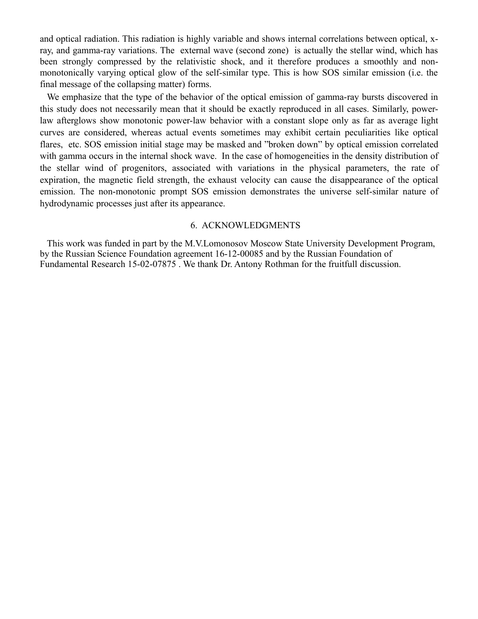and optical radiation. This radiation is highly variable and shows internal correlations between optical, xray, and gamma-ray variations. The external wave (second zone) is actually the stellar wind, which has been strongly compressed by the relativistic shock, and it therefore produces a smoothly and nonmonotonically varying optical glow of the self-similar type. This is how SOS similar emission (i.e. the final message of the collapsing matter) forms.

We emphasize that the type of the behavior of the optical emission of gamma-ray bursts discovered in this study does not necessarily mean that it should be exactly reproduced in all cases. Similarly, powerlaw afterglows show monotonic power-law behavior with a constant slope only as far as average light curves are considered, whereas actual events sometimes may exhibit certain peculiarities like optical flares, etc. SOS emission initial stage may be masked and "broken down" by optical emission correlated with gamma occurs in the internal shock wave. In the case of homogeneities in the density distribution of the stellar wind of progenitors, associated with variations in the physical parameters, the rate of expiration, the magnetic field strength, the exhaust velocity can cause the disappearance of the optical emission. The non-monotonic prompt SOS emission demonstrates the universe self-similar nature of hydrodynamic processes just after its appearance.

## 6. ACKNOWLEDGMENTS

This work was funded in part by the M.V.Lomonosov Moscow State University Development Program, by the Russian Science Foundation agreement 16-12-00085 and by the Russian Foundation of Fundamental Research 15-02-07875 . We thank Dr. Antony Rothman for the fruitfull discussion.